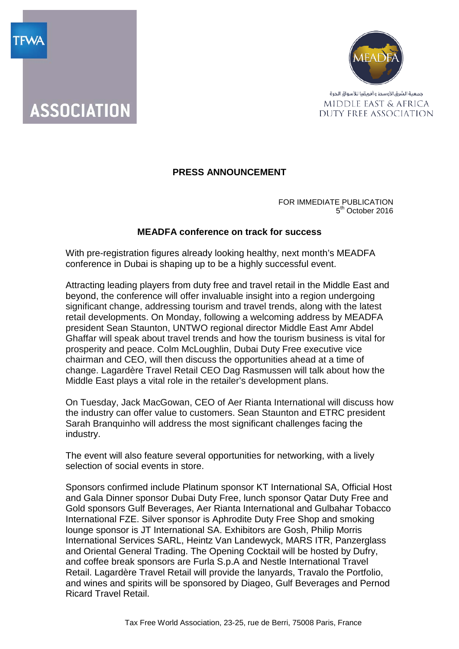



## **PRESS ANNOUNCEMENT**

FOR IMMEDIATE PUBLICATION 5<sup>th</sup> October 2016

## **MEADFA conference on track for success**

With pre-registration figures already looking healthy, next month's MEADFA conference in Dubai is shaping up to be a highly successful event.

Attracting leading players from duty free and travel retail in the Middle East and beyond, the conference will offer invaluable insight into a region undergoing significant change, addressing tourism and travel trends, along with the latest retail developments. On Monday, following a welcoming address by MEADFA president Sean Staunton, UNTWO regional director Middle East Amr Abdel Ghaffar will speak about travel trends and how the tourism business is vital for prosperity and peace. Colm McLoughlin, Dubai Duty Free executive vice chairman and CEO, will then discuss the opportunities ahead at a time of change. Lagardère Travel Retail CEO Dag Rasmussen will talk about how the Middle East plays a vital role in the retailer's development plans.

On Tuesday, Jack MacGowan, CEO of Aer Rianta International will discuss how the industry can offer value to customers. Sean Staunton and ETRC president Sarah Branquinho will address the most significant challenges facing the industry.

The event will also feature several opportunities for networking, with a lively selection of social events in store.

Sponsors confirmed include Platinum sponsor KT International SA, Official Host and Gala Dinner sponsor Dubai Duty Free, lunch sponsor Qatar Duty Free and Gold sponsors Gulf Beverages, Aer Rianta International and Gulbahar Tobacco International FZE. Silver sponsor is Aphrodite Duty Free Shop and smoking lounge sponsor is JT International SA. Exhibitors are Gosh, Philip Morris International Services SARL, Heintz Van Landewyck, MARS ITR, Panzerglass and Oriental General Trading. The Opening Cocktail will be hosted by Dufry, and coffee break sponsors are Furla S.p.A and Nestle International Travel Retail. Lagardère Travel Retail will provide the lanyards, Travalo the Portfolio, and wines and spirits will be sponsored by Diageo, Gulf Beverages and Pernod Ricard Travel Retail.